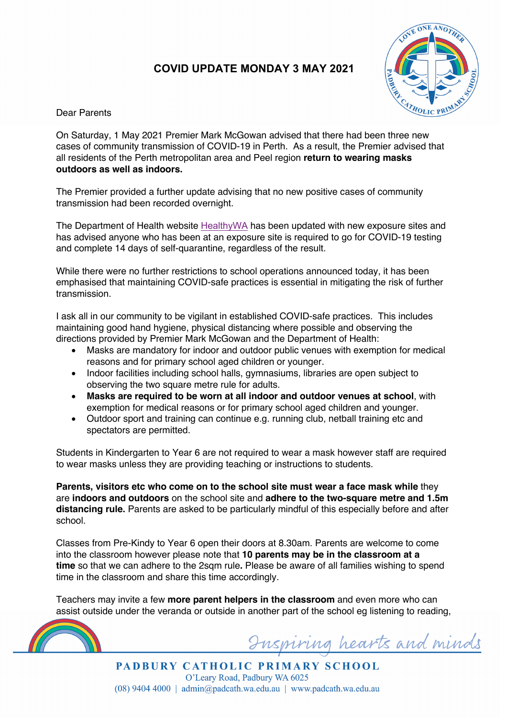## **COVID UPDATE MONDAY 3 MAY 2021**



Dear Parents

On Saturday, 1 May 2021 Premier Mark McGowan advised that there had been three new cases of community transmission of COVID-19 in Perth. As a result, the Premier advised that all residents of the Perth metropolitan area and Peel region **return to wearing masks outdoors as well as indoors.**

The Premier provided a further update advising that no new positive cases of community transmission had been recorded overnight.

The Department of Health website HealthyWA has been updated with new exposure sites and has advised anyone who has been at an exposure site is required to go for COVID-19 testing and complete 14 days of self-quarantine, regardless of the result.

While there were no further restrictions to school operations announced today, it has been emphasised that maintaining COVID-safe practices is essential in mitigating the risk of further transmission.

I ask all in our community to be vigilant in established COVID-safe practices. This includes maintaining good hand hygiene, physical distancing where possible and observing the directions provided by Premier Mark McGowan and the Department of Health:

- Masks are mandatory for indoor and outdoor public venues with exemption for medical reasons and for primary school aged children or younger.
- Indoor facilities including school halls, gymnasiums, libraries are open subject to observing the two square metre rule for adults.
- **Masks are required to be worn at all indoor and outdoor venues at school**, with exemption for medical reasons or for primary school aged children and younger.
- Outdoor sport and training can continue e.g. running club, netball training etc and spectators are permitted.

Students in Kindergarten to Year 6 are not required to wear a mask however staff are required to wear masks unless they are providing teaching or instructions to students.

**Parents, visitors etc who come on to the school site must wear a face mask while** they are **indoors and outdoors** on the school site and **adhere to the two-square metre and 1.5m distancing rule.** Parents are asked to be particularly mindful of this especially before and after school.

Classes from Pre-Kindy to Year 6 open their doors at 8.30am. Parents are welcome to come into the classroom however please note that **10 parents may be in the classroom at a time** so that we can adhere to the 2sqm rule**.** Please be aware of all families wishing to spend time in the classroom and share this time accordingly.

Teachers may invite a few **more parent helpers in the classroom** and even more who can assist outside under the veranda or outside in another part of the school eg listening to reading,



Inspiring hearts and minds